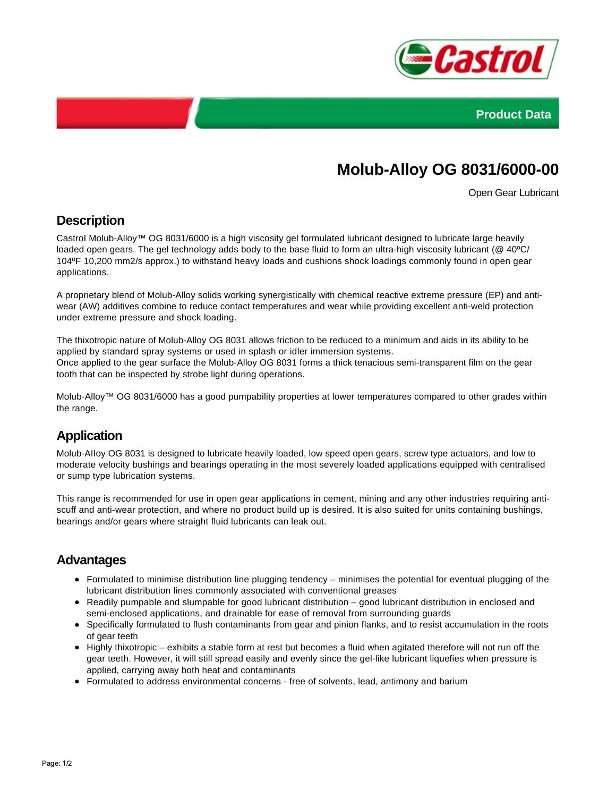



# **Molub-Alloy OG 8031/6000-00**

Open Gear Lubricant

### **Description**

CastroI Molub-Alloy™ OG 8031/6000 is a high viscosity gel formulated lubricant designed to lubricate large heavily loaded open gears. The gel technology adds body to the base fluid to form an ultra-high viscosity lubricant (@ 40°C/ 104ºF 10,200 mm2/s approx.) to withstand heavy loads and cushions shock loadings commonly found in open gear applications.

A proprietary blend of Molub-Alloy solids working synergistically with chemical reactive extreme pressure (EP) and antiwear (AW) additives combine to reduce contact temperatures and wear while providing excellent anti-weld protection under extreme pressure and shock loading.

The thixotropic nature of Molub-Alloy OG 8031 allows friction to be reduced to a minimum and aids in its ability to be applied by standard spray systems or used in splash or idler immersion systems. Once applied to the gear surface the Molub-Alloy OG 8031 forms a thick tenacious semi-transparent film on the gear tooth that can be inspected by strobe light during operations.

Molub-Alloy™ OG 8031/6000 has a good pumpability properties at lower temperatures compared to other grades within the range.

## **Application**

Molub-AIIoy OG 8031 is designed to lubricate heavily loaded, low speed open gears, screw type actuators, and low to moderate velocity bushings and bearings operating in the most severely loaded applications equipped with centralised or sump type lubrication systems.

This range is recommended for use in open gear applications in cement, mining and any other industries requiring antiscuff and anti-wear protection, and where no product build up is desired. It is also suited for units containing bushings, bearings and/or gears where straight fluid lubricants can leak out.

#### **Advantages**

- Formulated to minimise distribution line plugging tendency minimises the potential for eventual plugging of the lubricant distribution lines commonly associated with conventional greases
- Readily pumpable and slumpable for good lubricant distribution good lubricant distribution in enclosed and semi-enclosed applications, and drainable for ease of removal from surrounding guards
- Specifically formulated to flush contaminants from gear and pinion flanks, and to resist accumulation in the roots of gear teeth
- Highly thixotropic exhibits a stable form at rest but becomes a fluid when agitated therefore will not run off the gear teeth. However, it will still spread easily and evenly since the gel-like lubricant liquefies when pressure is applied, carrying away both heat and contaminants
- Formulated to address environmental concerns free of solvents, lead, antimony and barium